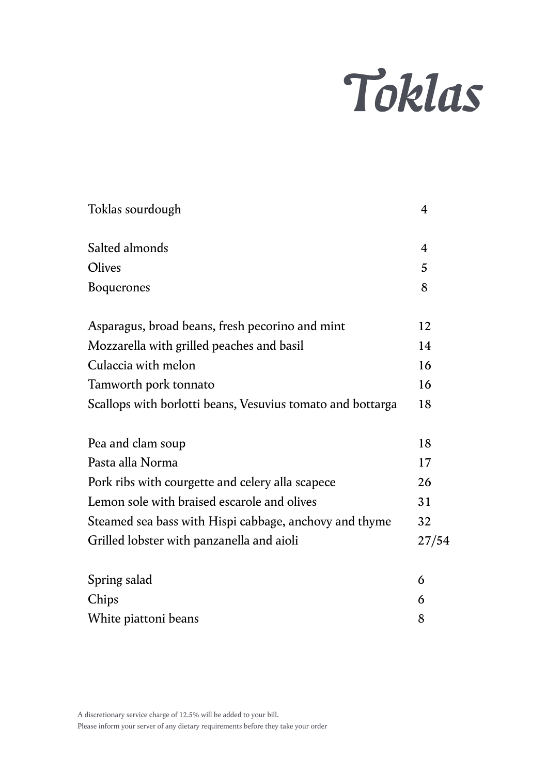## Toklas

| Toklas sourdough                                           | 4     |
|------------------------------------------------------------|-------|
| Salted almonds                                             | 4     |
| Olives                                                     | 5     |
| <b>Boquerones</b>                                          | 8     |
| Asparagus, broad beans, fresh pecorino and mint            | 12    |
| Mozzarella with grilled peaches and basil                  | 14    |
| Culaccia with melon                                        | 16    |
| Tamworth pork tonnato                                      | 16    |
| Scallops with borlotti beans, Vesuvius tomato and bottarga | 18    |
| Pea and clam soup                                          | 18    |
| Pasta alla Norma                                           | 17    |
| Pork ribs with courgette and celery alla scapece           | 26    |
| Lemon sole with braised escarole and olives                | 31    |
| Steamed sea bass with Hispi cabbage, anchovy and thyme     | 32    |
| Grilled lobster with panzanella and aioli                  | 27/54 |
| Spring salad                                               | 6     |
| Chips                                                      | 6     |
| White piattoni beans                                       | 8     |
|                                                            |       |

A discretionary service charge of 12.5% will be added to your bill.

Please inform your server of any dietary requirements before they take your order